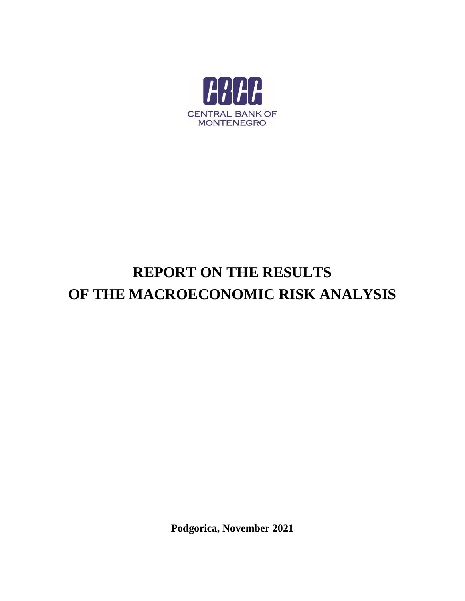

# **REPORT ON THE RESULTS OF THE MACROECONOMIC RISK ANALYSIS**

**Podgorica, November 2021**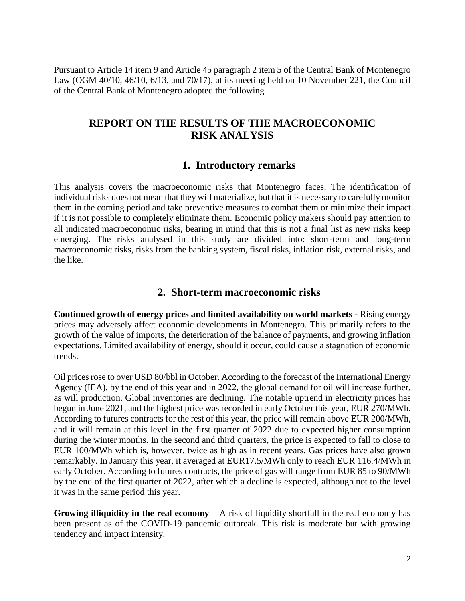Pursuant to Article 14 item 9 and Article 45 paragraph 2 item 5 of the Central Bank of Montenegro Law (OGM 40/10, 46/10, 6/13, and 70/17), at its meeting held on 10 November 221, the Council of the Central Bank of Montenegro adopted the following

# **REPORT ON THE RESULTS OF THE MACROECONOMIC RISK ANALYSIS**

## **1. Introductory remarks**

This analysis covers the macroeconomic risks that Montenegro faces. The identification of individual risks does not mean that they will materialize, but that it is necessary to carefully monitor them in the coming period and take preventive measures to combat them or minimize their impact if it is not possible to completely eliminate them. Economic policy makers should pay attention to all indicated macroeconomic risks, bearing in mind that this is not a final list as new risks keep emerging. The risks analysed in this study are divided into: short-term and long-term macroeconomic risks, risks from the banking system, fiscal risks, inflation risk, external risks, and the like.

## **2. Short-term macroeconomic risks**

**Continued growth of energy prices and limited availability on world markets -** Rising energy prices may adversely affect economic developments in Montenegro. This primarily refers to the growth of the value of imports, the deterioration of the balance of payments, and growing inflation expectations. Limited availability of energy, should it occur, could cause a stagnation of economic trends.

Oil prices rose to over USD 80/bbl in October. According to the forecast of the International Energy Agency (IEA), by the end of this year and in 2022, the global demand for oil will increase further, as will production. Global inventories are declining. The notable uptrend in electricity prices has begun in June 2021, and the highest price was recorded in early October this year, EUR 270/MWh. According to futures contracts for the rest of this year, the price will remain above EUR 200/MWh, and it will remain at this level in the first quarter of 2022 due to expected higher consumption during the winter months. In the second and third quarters, the price is expected to fall to close to EUR 100/MWh which is, however, twice as high as in recent years. Gas prices have also grown remarkably. In January this year, it averaged at EUR17.5/MWh only to reach EUR 116.4/MWh in early October. According to futures contracts, the price of gas will range from EUR 85 to 90/MWh by the end of the first quarter of 2022, after which a decline is expected, although not to the level it was in the same period this year.

**Growing illiquidity in the real economy –** A risk of liquidity shortfall in the real economy has been present as of the COVID-19 pandemic outbreak. This risk is moderate but with growing tendency and impact intensity.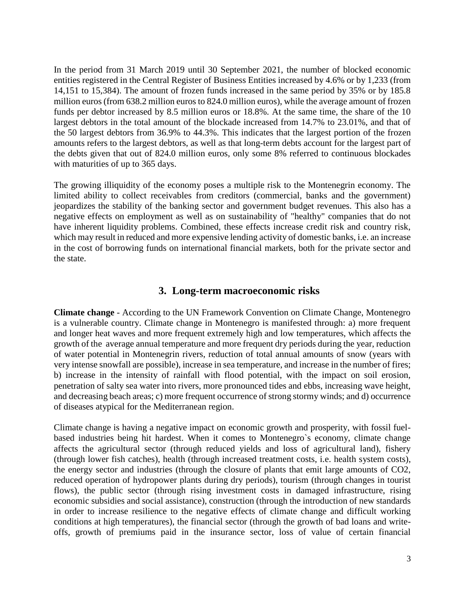In the period from 31 March 2019 until 30 September 2021, the number of blocked economic entities registered in the Central Register of Business Entities increased by 4.6% or by 1,233 (from 14,151 to 15,384). The amount of frozen funds increased in the same period by 35% or by 185.8 million euros (from 638.2 million euros to 824.0 million euros), while the average amount of frozen funds per debtor increased by 8.5 million euros or 18.8%. At the same time, the share of the 10 largest debtors in the total amount of the blockade increased from 14.7% to 23.01%, and that of the 50 largest debtors from 36.9% to 44.3%. This indicates that the largest portion of the frozen amounts refers to the largest debtors, as well as that long-term debts account for the largest part of the debts given that out of 824.0 million euros, only some 8% referred to continuous blockades with maturities of up to 365 days.

The growing illiquidity of the economy poses a multiple risk to the Montenegrin economy. The limited ability to collect receivables from creditors (commercial, banks and the government) jeopardizes the stability of the banking sector and government budget revenues. This also has a negative effects on employment as well as on sustainability of "healthy" companies that do not have inherent liquidity problems. Combined, these effects increase credit risk and country risk, which may result in reduced and more expensive lending activity of domestic banks, *i.e.* an increase in the cost of borrowing funds on international financial markets, both for the private sector and the state.

## **3. Long-term macroeconomic risks**

**Climate change** - According to the UN Framework Convention on Climate Change, Montenegro is a vulnerable country. Climate change in Montenegro is manifested through: a) more frequent and longer heat waves and more frequent extremely high and low temperatures, which affects the growth of the average annual temperature and more frequent dry periods during the year, reduction of water potential in Montenegrin rivers, reduction of total annual amounts of snow (years with very intense snowfall are possible), increase in sea temperature, and increase in the number of fires; b) increase in the intensity of rainfall with flood potential, with the impact on soil erosion, penetration of salty sea water into rivers, more pronounced tides and ebbs, increasing wave height, and decreasing beach areas; c) more frequent occurrence of strong stormy winds; and d) occurrence of diseases atypical for the Mediterranean region.

Climate change is having a negative impact on economic growth and prosperity, with fossil fuelbased industries being hit hardest. When it comes to Montenegro`s economy, climate change affects the agricultural sector (through reduced yields and loss of agricultural land), fishery (through lower fish catches), health (through increased treatment costs, i.e. health system costs), the energy sector and industries (through the closure of plants that emit large amounts of CO2, reduced operation of hydropower plants during dry periods), tourism (through changes in tourist flows), the public sector (through rising investment costs in damaged infrastructure, rising economic subsidies and social assistance), construction (through the introduction of new standards in order to increase resilience to the negative effects of climate change and difficult working conditions at high temperatures), the financial sector (through the growth of bad loans and writeoffs, growth of premiums paid in the insurance sector, loss of value of certain financial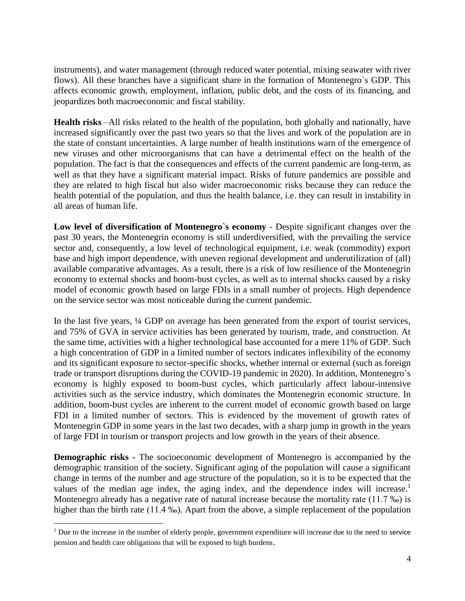instruments), and water management (through reduced water potential, mixing seawater with river flows). All these branches have a significant share in the formation of Montenegro`s GDP. This affects economic growth, employment, inflation, public debt, and the costs of its financing, and jeopardizes both macroeconomic and fiscal stability.

**Health risks** –All risks related to the health of the population, both globally and nationally, have increased significantly over the past two years so that the lives and work of the population are in the state of constant uncertainties. A large number of health institutions warn of the emergence of new viruses and other microorganisms that can have a detrimental effect on the health of the population. The fact is that the consequences and effects of the current pandemic are long-term, as well as that they have a significant material impact. Risks of future pandemics are possible and they are related to high fiscal but also wider macroeconomic risks because they can reduce the health potential of the population, and thus the health balance, i.e. they can result in instability in all areas of human life.

**Low level of diversification of Montenegro`s economy** - Despite significant changes over the past 30 years, the Montenegrin economy is still underdiversified, with the prevailing the service sector and, consequently, a low level of technological equipment, i.e. weak (commodity) export base and high import dependence, with uneven regional development and underutilization of (all) available comparative advantages. As a result, there is a risk of low resilience of the Montenegrin economy to external shocks and boom-bust cycles, as well as to internal shocks caused by a risky model of economic growth based on large FDIs in a small number of projects. High dependence on the service sector was most noticeable during the current pandemic.

In the last five years, ¼ GDP on average has been generated from the export of tourist services, and 75% of GVA in service activities has been generated by tourism, trade, and construction. At the same time, activities with a higher technological base accounted for a mere 11% of GDP. Such a high concentration of GDP in a limited number of sectors indicates inflexibility of the economy and its significant exposure to sector-specific shocks, whether internal or external (such as foreign trade or transport disruptions during the COVID-19 pandemic in 2020). In addition, Montenegro`s economy is highly exposed to boom-bust cycles, which particularly affect labour-intensive activities such as the service industry, which dominates the Montenegrin economic structure. In addition, boom-bust cycles are inherent to the current model of economic growth based on large FDI in a limited number of sectors. This is evidenced by the movement of growth rates of Montenegrin GDP in some years in the last two decades, with a sharp jump in growth in the years of large FDI in tourism or transport projects and low growth in the years of their absence.

**Demographic risks -** The socioeconomic development of Montenegro is accompanied by the demographic transition of the society. Significant aging of the population will cause a significant change in terms of the number and age structure of the population, so it is to be expected that the values of the median age index, the aging index, and the dependence index will increase.<sup>1</sup> Montenegro already has a negative rate of natural increase because the mortality rate (11.7 ‰) is higher than the birth rate (11.4 ‰). Apart from the above, a simple replacement of the population

 $\overline{a}$ 

<sup>&</sup>lt;sup>1</sup> Due to the increase in the number of elderly people, government expenditure will increase due to the need to service pension and health care obligations that will be exposed to high burdens.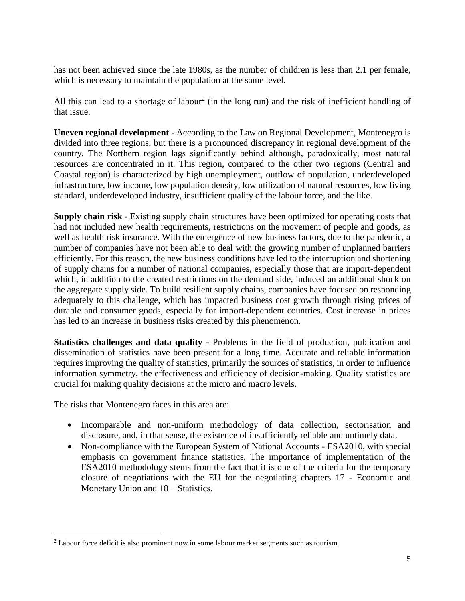has not been achieved since the late 1980s, as the number of children is less than 2.1 per female, which is necessary to maintain the population at the same level.

All this can lead to a shortage of labour<sup>2</sup> (in the long run) and the risk of inefficient handling of that issue.

**Uneven regional development** - According to the Law on Regional Development, Montenegro is divided into three regions, but there is a pronounced discrepancy in regional development of the country. The Northern region lags significantly behind although, paradoxically, most natural resources are concentrated in it. This region, compared to the other two regions (Central and Coastal region) is characterized by high unemployment, outflow of population, underdeveloped infrastructure, low income, low population density, low utilization of natural resources, low living standard, underdeveloped industry, insufficient quality of the labour force, and the like.

**Supply chain risk** - Existing supply chain structures have been optimized for operating costs that had not included new health requirements, restrictions on the movement of people and goods, as well as health risk insurance. With the emergence of new business factors, due to the pandemic, a number of companies have not been able to deal with the growing number of unplanned barriers efficiently. For this reason, the new business conditions have led to the interruption and shortening of supply chains for a number of national companies, especially those that are import-dependent which, in addition to the created restrictions on the demand side, induced an additional shock on the aggregate supply side. To build resilient supply chains, companies have focused on responding adequately to this challenge, which has impacted business cost growth through rising prices of durable and consumer goods, especially for import-dependent countries. Cost increase in prices has led to an increase in business risks created by this phenomenon.

**Statistics challenges and data quality -** Problems in the field of production, publication and dissemination of statistics have been present for a long time. Accurate and reliable information requires improving the quality of statistics, primarily the sources of statistics, in order to influence information symmetry, the effectiveness and efficiency of decision-making. Quality statistics are crucial for making quality decisions at the micro and macro levels.

The risks that Montenegro faces in this area are:

 $\overline{\phantom{a}}$ 

- Incomparable and non-uniform methodology of data collection, sectorisation and disclosure, and, in that sense, the existence of insufficiently reliable and untimely data.
- Non-compliance with the European System of National Accounts ESA2010, with special emphasis on government finance statistics. The importance of implementation of the ESA2010 methodology stems from the fact that it is one of the criteria for the temporary closure of negotiations with the EU for the negotiating chapters 17 - Economic and Monetary Union and 18 – Statistics.

<sup>2</sup> Labour force deficit is also prominent now in some labour market segments such as tourism.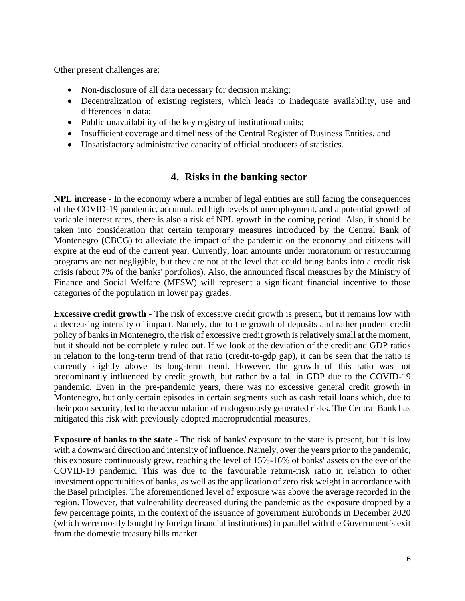Other present challenges are:

- Non-disclosure of all data necessary for decision making;
- Decentralization of existing registers, which leads to inadequate availability, use and differences in data;
- Public unavailability of the key registry of institutional units;
- Insufficient coverage and timeliness of the Central Register of Business Entities, and
- Unsatisfactory administrative capacity of official producers of statistics.

# **4. Risks in the banking sector**

**NPL increase -** In the economy where a number of legal entities are still facing the consequences of the COVID-19 pandemic, accumulated high levels of unemployment, and a potential growth of variable interest rates, there is also a risk of NPL growth in the coming period. Also, it should be taken into consideration that certain temporary measures introduced by the Central Bank of Montenegro (CBCG) to alleviate the impact of the pandemic on the economy and citizens will expire at the end of the current year. Currently, loan amounts under moratorium or restructuring programs are not negligible, but they are not at the level that could bring banks into a credit risk crisis (about 7% of the banks' portfolios). Also, the announced fiscal measures by the Ministry of Finance and Social Welfare (MFSW) will represent a significant financial incentive to those categories of the population in lower pay grades.

**Excessive credit growth -** The risk of excessive credit growth is present, but it remains low with a decreasing intensity of impact. Namely, due to the growth of deposits and rather prudent credit policy of banks in Montenegro, the risk of excessive credit growth is relatively small at the moment, but it should not be completely ruled out. If we look at the deviation of the credit and GDP ratios in relation to the long-term trend of that ratio (credit-to-gdp gap), it can be seen that the ratio is currently slightly above its long-term trend. However, the growth of this ratio was not predominantly influenced by credit growth, but rather by a fall in GDP due to the COVID-19 pandemic. Even in the pre-pandemic years, there was no excessive general credit growth in Montenegro, but only certain episodes in certain segments such as cash retail loans which, due to their poor security, led to the accumulation of endogenously generated risks. The Central Bank has mitigated this risk with previously adopted macroprudential measures.

**Exposure of banks to the state -** The risk of banks' exposure to the state is present, but it is low with a downward direction and intensity of influence. Namely, over the years prior to the pandemic, this exposure continuously grew, reaching the level of 15%-16% of banks' assets on the eve of the COVID-19 pandemic. This was due to the favourable return-risk ratio in relation to other investment opportunities of banks, as well as the application of zero risk weight in accordance with the Basel principles. The aforementioned level of exposure was above the average recorded in the region. However, that vulnerability decreased during the pandemic as the exposure dropped by a few percentage points, in the context of the issuance of government Eurobonds in December 2020 (which were mostly bought by foreign financial institutions) in parallel with the Government`s exit from the domestic treasury bills market.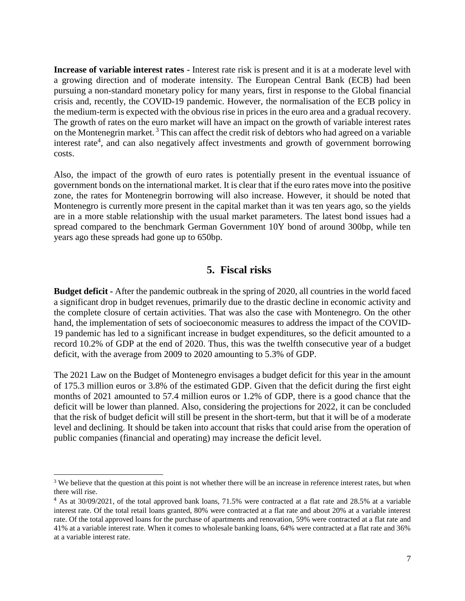**Increase of variable interest rates -** Interest rate risk is present and it is at a moderate level with a growing direction and of moderate intensity. The European Central Bank (ECB) had been pursuing a non-standard monetary policy for many years, first in response to the Global financial crisis and, recently, the COVID-19 pandemic. However, the normalisation of the ECB policy in the medium-term is expected with the obvious rise in prices in the euro area and a gradual recovery. The growth of rates on the euro market will have an impact on the growth of variable interest rates on the Montenegrin market. <sup>3</sup> This can affect the credit risk of debtors who had agreed on a variable interest rate<sup>4</sup>, and can also negatively affect investments and growth of government borrowing costs.

Also, the impact of the growth of euro rates is potentially present in the eventual issuance of government bonds on the international market. It is clear that if the euro rates move into the positive zone, the rates for Montenegrin borrowing will also increase. However, it should be noted that Montenegro is currently more present in the capital market than it was ten years ago, so the yields are in a more stable relationship with the usual market parameters. The latest bond issues had a spread compared to the benchmark German Government 10Y bond of around 300bp, while ten years ago these spreads had gone up to 650bp.

## **5. Fiscal risks**

**Budget deficit -** After the pandemic outbreak in the spring of 2020, all countries in the world faced a significant drop in budget revenues, primarily due to the drastic decline in economic activity and the complete closure of certain activities. That was also the case with Montenegro. On the other hand, the implementation of sets of socioeconomic measures to address the impact of the COVID-19 pandemic has led to a significant increase in budget expenditures, so the deficit amounted to a record 10.2% of GDP at the end of 2020. Thus, this was the twelfth consecutive year of a budget deficit, with the average from 2009 to 2020 amounting to 5.3% of GDP.

The 2021 Law on the Budget of Montenegro envisages a budget deficit for this year in the amount of 175.3 million euros or 3.8% of the estimated GDP. Given that the deficit during the first eight months of 2021 amounted to 57.4 million euros or 1.2% of GDP, there is a good chance that the deficit will be lower than planned. Also, considering the projections for 2022, it can be concluded that the risk of budget deficit will still be present in the short-term, but that it will be of a moderate level and declining. It should be taken into account that risks that could arise from the operation of public companies (financial and operating) may increase the deficit level.

 $\overline{a}$ 

<sup>&</sup>lt;sup>3</sup> We believe that the question at this point is not whether there will be an increase in reference interest rates, but when there will rise.

<sup>&</sup>lt;sup>4</sup> As at 30/09/2021, of the total approved bank loans, 71.5% were contracted at a flat rate and 28.5% at a variable interest rate. Of the total retail loans granted, 80% were contracted at a flat rate and about 20% at a variable interest rate. Of the total approved loans for the purchase of apartments and renovation, 59% were contracted at a flat rate and 41% at a variable interest rate. When it comes to wholesale banking loans, 64% were contracted at a flat rate and 36% at a variable interest rate.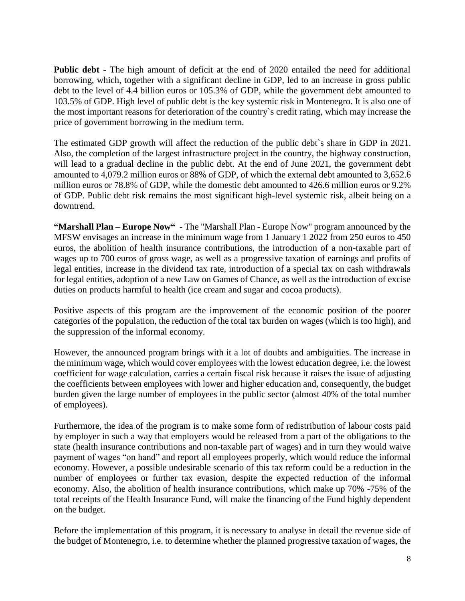**Public debt -** The high amount of deficit at the end of 2020 entailed the need for additional borrowing, which, together with a significant decline in GDP, led to an increase in gross public debt to the level of 4.4 billion euros or 105.3% of GDP, while the government debt amounted to 103.5% of GDP. High level of public debt is the key systemic risk in Montenegro. It is also one of the most important reasons for deterioration of the country`s credit rating, which may increase the price of government borrowing in the medium term.

The estimated GDP growth will affect the reduction of the public debt`s share in GDP in 2021. Also, the completion of the largest infrastructure project in the country, the highway construction, will lead to a gradual decline in the public debt. At the end of June 2021, the government debt amounted to 4,079.2 million euros or 88% of GDP, of which the external debt amounted to 3,652.6 million euros or 78.8% of GDP, while the domestic debt amounted to 426.6 million euros or 9.2% of GDP. Public debt risk remains the most significant high-level systemic risk, albeit being on a downtrend.

**"Marshall Plan – Europe Now" -** The "Marshall Plan - Europe Now" program announced by the MFSW envisages an increase in the minimum wage from 1 January 1 2022 from 250 euros to 450 euros, the abolition of health insurance contributions, the introduction of a non-taxable part of wages up to 700 euros of gross wage, as well as a progressive taxation of earnings and profits of legal entities, increase in the dividend tax rate, introduction of a special tax on cash withdrawals for legal entities, adoption of a new Law on Games of Chance, as well as the introduction of excise duties on products harmful to health (ice cream and sugar and cocoa products).

Positive aspects of this program are the improvement of the economic position of the poorer categories of the population, the reduction of the total tax burden on wages (which is too high), and the suppression of the informal economy.

However, the announced program brings with it a lot of doubts and ambiguities. The increase in the minimum wage, which would cover employees with the lowest education degree, i.e. the lowest coefficient for wage calculation, carries a certain fiscal risk because it raises the issue of adjusting the coefficients between employees with lower and higher education and, consequently, the budget burden given the large number of employees in the public sector (almost 40% of the total number of employees).

Furthermore, the idea of the program is to make some form of redistribution of labour costs paid by employer in such a way that employers would be released from a part of the obligations to the state (health insurance contributions and non-taxable part of wages) and in turn they would waive payment of wages "on hand" and report all employees properly, which would reduce the informal economy. However, a possible undesirable scenario of this tax reform could be a reduction in the number of employees or further tax evasion, despite the expected reduction of the informal economy. Also, the abolition of health insurance contributions, which make up 70% -75% of the total receipts of the Health Insurance Fund, will make the financing of the Fund highly dependent on the budget.

Before the implementation of this program, it is necessary to analyse in detail the revenue side of the budget of Montenegro, i.e. to determine whether the planned progressive taxation of wages, the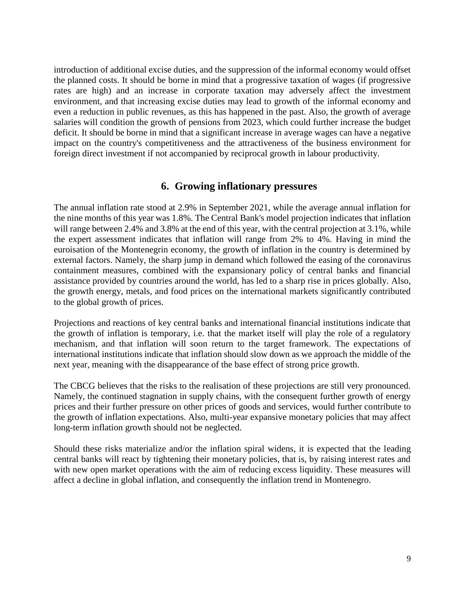introduction of additional excise duties, and the suppression of the informal economy would offset the planned costs. It should be borne in mind that a progressive taxation of wages (if progressive rates are high) and an increase in corporate taxation may adversely affect the investment environment, and that increasing excise duties may lead to growth of the informal economy and even a reduction in public revenues, as this has happened in the past. Also, the growth of average salaries will condition the growth of pensions from 2023, which could further increase the budget deficit. It should be borne in mind that a significant increase in average wages can have a negative impact on the country's competitiveness and the attractiveness of the business environment for foreign direct investment if not accompanied by reciprocal growth in labour productivity.

# **6. Growing inflationary pressures**

The annual inflation rate stood at 2.9% in September 2021, while the average annual inflation for the nine months of this year was 1.8%. The Central Bank's model projection indicates that inflation will range between 2.4% and 3.8% at the end of this year, with the central projection at 3.1%, while the expert assessment indicates that inflation will range from 2% to 4%. Having in mind the euroisation of the Montenegrin economy, the growth of inflation in the country is determined by external factors. Namely, the sharp jump in demand which followed the easing of the coronavirus containment measures, combined with the expansionary policy of central banks and financial assistance provided by countries around the world, has led to a sharp rise in prices globally. Also, the growth energy, metals, and food prices on the international markets significantly contributed to the global growth of prices.

Projections and reactions of key central banks and international financial institutions indicate that the growth of inflation is temporary, i.e. that the market itself will play the role of a regulatory mechanism, and that inflation will soon return to the target framework. The expectations of international institutions indicate that inflation should slow down as we approach the middle of the next year, meaning with the disappearance of the base effect of strong price growth.

The CBCG believes that the risks to the realisation of these projections are still very pronounced. Namely, the continued stagnation in supply chains, with the consequent further growth of energy prices and their further pressure on other prices of goods and services, would further contribute to the growth of inflation expectations. Also, multi-year expansive monetary policies that may affect long-term inflation growth should not be neglected.

Should these risks materialize and/or the inflation spiral widens, it is expected that the leading central banks will react by tightening their monetary policies, that is, by raising interest rates and with new open market operations with the aim of reducing excess liquidity. These measures will affect a decline in global inflation, and consequently the inflation trend in Montenegro.